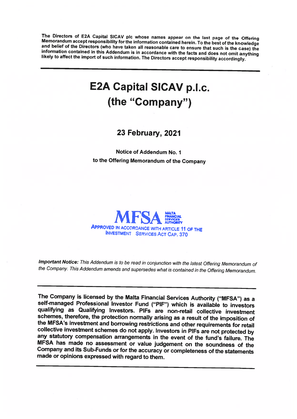The Directors of E2A Capital SICAV plc whose names appear on the last page of the Offering Memorandum accept responsibility for the information contained herein. To the best of the knowledge and belief of the Directors (wh

## E2A Capital SICAV p.l.c. (the "Company")

23 February, 2021

Notice of Addendum No. I to the Offering Memorandum of the Company



Important Notice: This Addendum is to be read in conjunction with the latest Offering Memorandum of the Company. This Addendum amends and supersedes what is contained in the Offering Memorandum.

The Company is licensed by the Malta Financial Services Authority ("MFSA") as <sup>a</sup> self-managed Professional Investor Fund ("PIF") which is available to investors qualifying as Qualifying Investors. PIFs are non-retail collective investment<br>schemes, therefore, the protection normally arising as a result of the imposition of the MFSA's investment and borrowing restrictions and other requirements for retail<br>collective investment schemes do not apply. Investors in PIFs are not protected by<br>any statutory compensation arrangements in the event of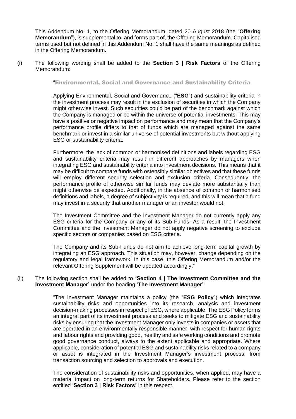This Addendum No. 1, to the Offering Memorandum, dated 20 August 2018 (the "**Offering Memorandum**"), is supplemental to, and forms part of, the Offering Memorandum. Capitalised terms used but not defined in this Addendum No. 1 shall have the same meanings as defined in the Offering Memorandum.

(i) The following wording shall be added to the **Section 3 | Risk Factors** of the Offering Memorandum:

"Environmental, Social and Governance and Sustainability Criteria

Applying Environmental, Social and Governance ("**ESG**") and sustainability criteria in the investment process may result in the exclusion of securities in which the Company might otherwise invest. Such securities could be part of the benchmark against which the Company is managed or be within the universe of potential investments. This may have a positive or negative impact on performance and may mean that the Company's performance profile differs to that of funds which are managed against the same benchmark or invest in a similar universe of potential investments but without applying ESG or sustainability criteria.

Furthermore, the lack of common or harmonised definitions and labels regarding ESG and sustainability criteria may result in different approaches by managers when integrating ESG and sustainability criteria into investment decisions. This means that it may be difficult to compare funds with ostensibly similar objectives and that these funds will employ different security selection and exclusion criteria. Consequently, the performance profile of otherwise similar funds may deviate more substantially than might otherwise be expected. Additionally, in the absence of common or harmonised definitions and labels, a degree of subjectivity is required, and this will mean that a fund may invest in a security that another manager or an investor would not.

The Investment Committee and the Investment Manager do not currently apply any ESG criteria for the Company or any of its Sub-Funds. As a result, the Investment Committee and the Investment Manager do not apply negative screening to exclude specific sectors or companies based on ESG criteria.

The Company and its Sub-Funds do not aim to achieve long-term capital growth by integrating an ESG approach. This situation may, however, change depending on the regulatory and legal framework. In this case, this Offering Memorandum and/or the relevant Offering Supplement will be updated accordingly."

## (ii) The following section shall be added to **'Section 4 | The Investment Committee and the Investment Manager'** under the heading '**The Investment Manager**':

"The Investment Manager maintains a policy (the "**ESG Policy**") which integrates sustainability risks and opportunities into its research, analysis and investment decision-making processes in respect of ESG, where applicable. The ESG Policy forms an integral part of its investment process and seeks to mitigate ESG and sustainability risks by ensuring that the Investment Manager only invests in companies or assets that are operated in an environmentally responsible manner, with respect for human rights and labour rights and providing good, healthy and safe working conditions and promote good governance conduct, always to the extent applicable and appropriate. Where applicable, consideration of potential ESG and sustainability risks related to a company or asset is integrated in the Investment Manager's investment process, from transaction sourcing and selection to approvals and execution.

The consideration of sustainability risks and opportunities, when applied, may have a material impact on long-term returns for Shareholders. Please refer to the section entitled '**Section 3 | Risk Factors'** in this respect.